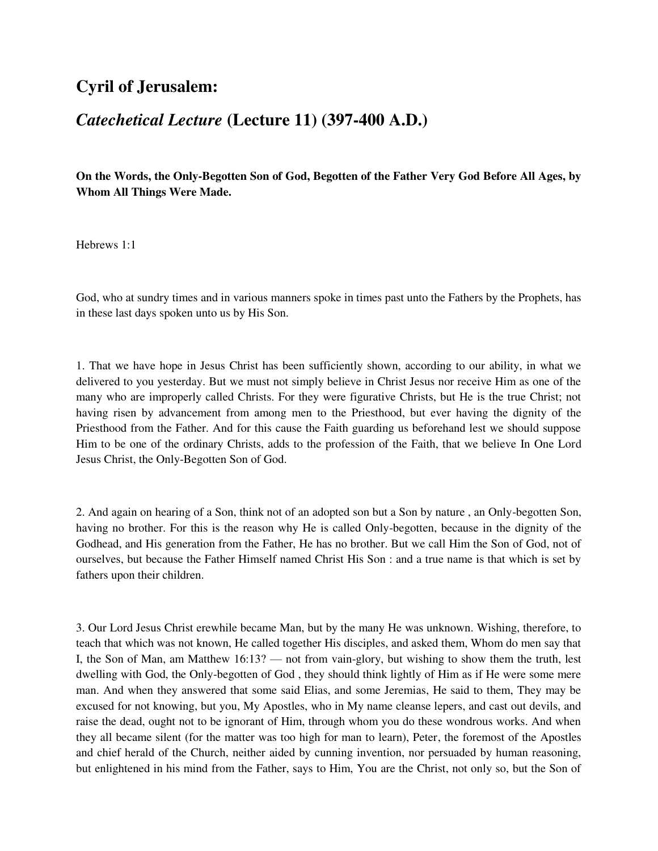## **Cyril of Jerusalem:**

## *Catechetical Lecture* **(Lecture 11) (397-400 A.D.)**

**On the Words, the Only-Begotten Son of God, Begotten of the Father Very God Before All Ages, by Whom All Things Were Made.** 

Hebrews 1:1

God, who at sundry times and in various manners spoke in times past unto the Fathers by the Prophets, has in these last days spoken unto us by His Son.

1. That we have hope in Jesus Christ has been sufficiently shown, according to our ability, in what we delivered to you yesterday. But we must not simply believe in Christ Jesus nor receive Him as one of the many who are improperly called Christs. For they were figurative Christs, but He is the true Christ; not having risen by advancement from among men to the Priesthood, but ever having the dignity of the Priesthood from the Father. And for this cause the Faith guarding us beforehand lest we should suppose Him to be one of the ordinary Christs, adds to the profession of the Faith, that we believe In One Lord Jesus Christ, the Only-Begotten Son of God.

2. And again on hearing of a Son, think not of an adopted son but a Son by nature , an Only-begotten Son, having no brother. For this is the reason why He is called Only-begotten, because in the dignity of the Godhead, and His generation from the Father, He has no brother. But we call Him the Son of God, not of ourselves, but because the Father Himself named Christ His Son : and a true name is that which is set by fathers upon their children.

3. Our Lord Jesus Christ erewhile became Man, but by the many He was unknown. Wishing, therefore, to teach that which was not known, He called together His disciples, and asked them, Whom do men say that I, the Son of Man, am Matthew 16:13? — not from vain-glory, but wishing to show them the truth, lest dwelling with God, the Only-begotten of God , they should think lightly of Him as if He were some mere man. And when they answered that some said Elias, and some Jeremias, He said to them, They may be excused for not knowing, but you, My Apostles, who in My name cleanse lepers, and cast out devils, and raise the dead, ought not to be ignorant of Him, through whom you do these wondrous works. And when they all became silent (for the matter was too high for man to learn), Peter, the foremost of the Apostles and chief herald of the Church, neither aided by cunning invention, nor persuaded by human reasoning, but enlightened in his mind from the Father, says to Him, You are the Christ, not only so, but the Son of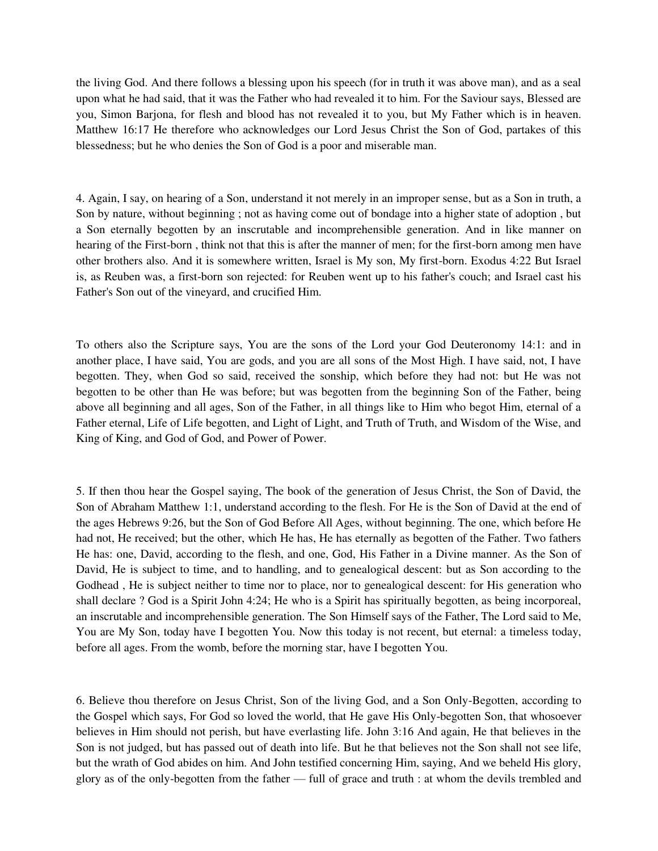the living God. And there follows a blessing upon his speech (for in truth it was above man), and as a seal upon what he had said, that it was the Father who had revealed it to him. For the Saviour says, Blessed are you, Simon Barjona, for flesh and blood has not revealed it to you, but My Father which is in heaven. Matthew 16:17 He therefore who acknowledges our Lord Jesus Christ the Son of God, partakes of this blessedness; but he who denies the Son of God is a poor and miserable man.

4. Again, I say, on hearing of a Son, understand it not merely in an improper sense, but as a Son in truth, a Son by nature, without beginning ; not as having come out of bondage into a higher state of adoption , but a Son eternally begotten by an inscrutable and incomprehensible generation. And in like manner on hearing of the First-born , think not that this is after the manner of men; for the first-born among men have other brothers also. And it is somewhere written, Israel is My son, My first-born. Exodus 4:22 But Israel is, as Reuben was, a first-born son rejected: for Reuben went up to his father's couch; and Israel cast his Father's Son out of the vineyard, and crucified Him.

To others also the Scripture says, You are the sons of the Lord your God Deuteronomy 14:1: and in another place, I have said, You are gods, and you are all sons of the Most High. I have said, not, I have begotten. They, when God so said, received the sonship, which before they had not: but He was not begotten to be other than He was before; but was begotten from the beginning Son of the Father, being above all beginning and all ages, Son of the Father, in all things like to Him who begot Him, eternal of a Father eternal, Life of Life begotten, and Light of Light, and Truth of Truth, and Wisdom of the Wise, and King of King, and God of God, and Power of Power.

5. If then thou hear the Gospel saying, The book of the generation of Jesus Christ, the Son of David, the Son of Abraham Matthew 1:1, understand according to the flesh. For He is the Son of David at the end of the ages Hebrews 9:26, but the Son of God Before All Ages, without beginning. The one, which before He had not, He received; but the other, which He has, He has eternally as begotten of the Father. Two fathers He has: one, David, according to the flesh, and one, God, His Father in a Divine manner. As the Son of David, He is subject to time, and to handling, and to genealogical descent: but as Son according to the Godhead , He is subject neither to time nor to place, nor to genealogical descent: for His generation who shall declare ? God is a Spirit John 4:24; He who is a Spirit has spiritually begotten, as being incorporeal, an inscrutable and incomprehensible generation. The Son Himself says of the Father, The Lord said to Me, You are My Son, today have I begotten You. Now this today is not recent, but eternal: a timeless today, before all ages. From the womb, before the morning star, have I begotten You.

6. Believe thou therefore on Jesus Christ, Son of the living God, and a Son Only-Begotten, according to the Gospel which says, For God so loved the world, that He gave His Only-begotten Son, that whosoever believes in Him should not perish, but have everlasting life. John 3:16 And again, He that believes in the Son is not judged, but has passed out of death into life. But he that believes not the Son shall not see life, but the wrath of God abides on him. And John testified concerning Him, saying, And we beheld His glory, glory as of the only-begotten from the father — full of grace and truth : at whom the devils trembled and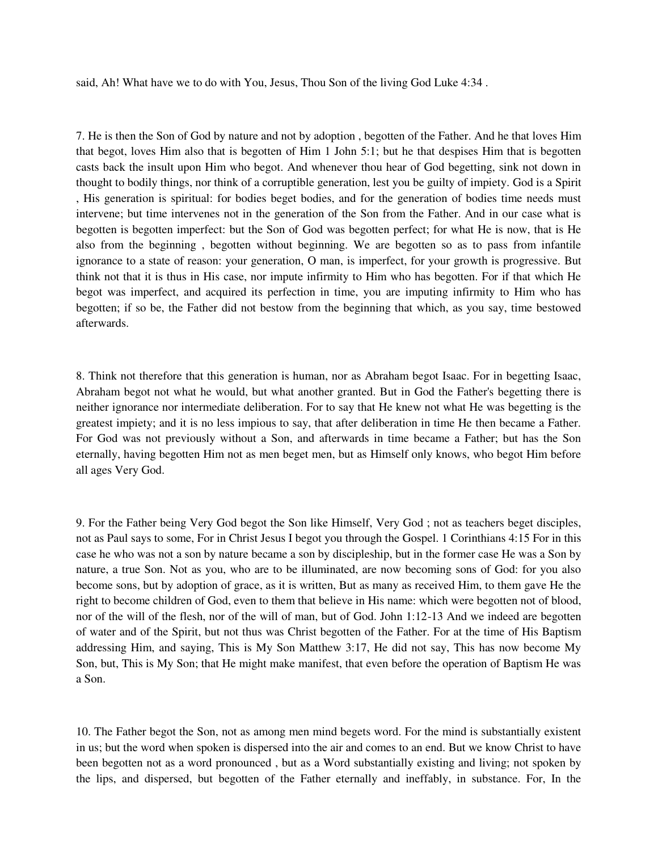said, Ah! What have we to do with You, Jesus, Thou Son of the living God Luke 4:34 .

7. He is then the Son of God by nature and not by adoption , begotten of the Father. And he that loves Him that begot, loves Him also that is begotten of Him 1 John 5:1; but he that despises Him that is begotten casts back the insult upon Him who begot. And whenever thou hear of God begetting, sink not down in thought to bodily things, nor think of a corruptible generation, lest you be guilty of impiety. God is a Spirit , His generation is spiritual: for bodies beget bodies, and for the generation of bodies time needs must intervene; but time intervenes not in the generation of the Son from the Father. And in our case what is begotten is begotten imperfect: but the Son of God was begotten perfect; for what He is now, that is He also from the beginning , begotten without beginning. We are begotten so as to pass from infantile ignorance to a state of reason: your generation, O man, is imperfect, for your growth is progressive. But think not that it is thus in His case, nor impute infirmity to Him who has begotten. For if that which He begot was imperfect, and acquired its perfection in time, you are imputing infirmity to Him who has begotten; if so be, the Father did not bestow from the beginning that which, as you say, time bestowed afterwards.

8. Think not therefore that this generation is human, nor as Abraham begot Isaac. For in begetting Isaac, Abraham begot not what he would, but what another granted. But in God the Father's begetting there is neither ignorance nor intermediate deliberation. For to say that He knew not what He was begetting is the greatest impiety; and it is no less impious to say, that after deliberation in time He then became a Father. For God was not previously without a Son, and afterwards in time became a Father; but has the Son eternally, having begotten Him not as men beget men, but as Himself only knows, who begot Him before all ages Very God.

9. For the Father being Very God begot the Son like Himself, Very God ; not as teachers beget disciples, not as Paul says to some, For in Christ Jesus I begot you through the Gospel. 1 Corinthians 4:15 For in this case he who was not a son by nature became a son by discipleship, but in the former case He was a Son by nature, a true Son. Not as you, who are to be illuminated, are now becoming sons of God: for you also become sons, but by adoption of grace, as it is written, But as many as received Him, to them gave He the right to become children of God, even to them that believe in His name: which were begotten not of blood, nor of the will of the flesh, nor of the will of man, but of God. John 1:12-13 And we indeed are begotten of water and of the Spirit, but not thus was Christ begotten of the Father. For at the time of His Baptism addressing Him, and saying, This is My Son Matthew 3:17, He did not say, This has now become My Son, but, This is My Son; that He might make manifest, that even before the operation of Baptism He was a Son.

10. The Father begot the Son, not as among men mind begets word. For the mind is substantially existent in us; but the word when spoken is dispersed into the air and comes to an end. But we know Christ to have been begotten not as a word pronounced , but as a Word substantially existing and living; not spoken by the lips, and dispersed, but begotten of the Father eternally and ineffably, in substance. For, In the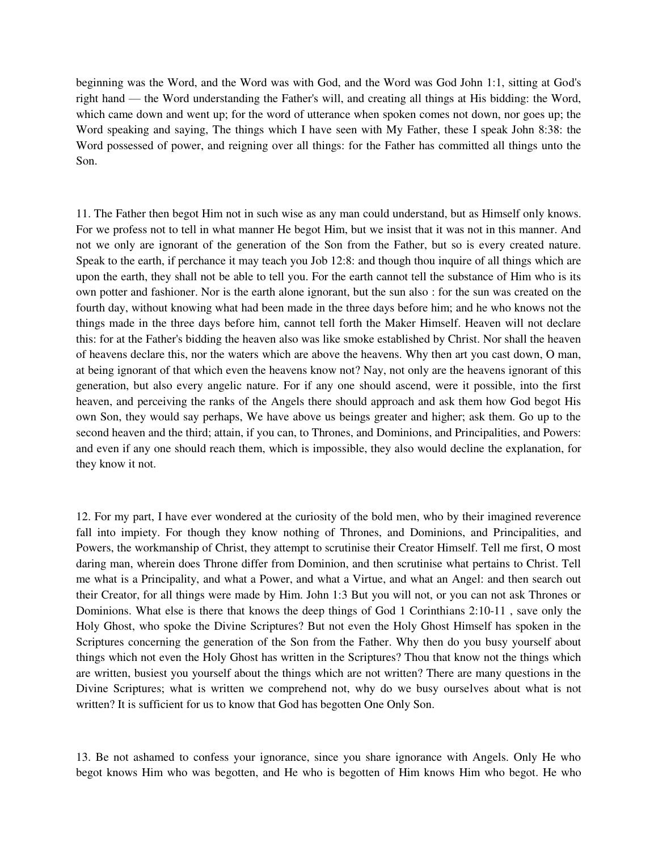beginning was the Word, and the Word was with God, and the Word was God John 1:1, sitting at God's right hand — the Word understanding the Father's will, and creating all things at His bidding: the Word, which came down and went up; for the word of utterance when spoken comes not down, nor goes up; the Word speaking and saying, The things which I have seen with My Father, these I speak John 8:38: the Word possessed of power, and reigning over all things: for the Father has committed all things unto the Son.

11. The Father then begot Him not in such wise as any man could understand, but as Himself only knows. For we profess not to tell in what manner He begot Him, but we insist that it was not in this manner. And not we only are ignorant of the generation of the Son from the Father, but so is every created nature. Speak to the earth, if perchance it may teach you Job 12:8: and though thou inquire of all things which are upon the earth, they shall not be able to tell you. For the earth cannot tell the substance of Him who is its own potter and fashioner. Nor is the earth alone ignorant, but the sun also : for the sun was created on the fourth day, without knowing what had been made in the three days before him; and he who knows not the things made in the three days before him, cannot tell forth the Maker Himself. Heaven will not declare this: for at the Father's bidding the heaven also was like smoke established by Christ. Nor shall the heaven of heavens declare this, nor the waters which are above the heavens. Why then art you cast down, O man, at being ignorant of that which even the heavens know not? Nay, not only are the heavens ignorant of this generation, but also every angelic nature. For if any one should ascend, were it possible, into the first heaven, and perceiving the ranks of the Angels there should approach and ask them how God begot His own Son, they would say perhaps, We have above us beings greater and higher; ask them. Go up to the second heaven and the third; attain, if you can, to Thrones, and Dominions, and Principalities, and Powers: and even if any one should reach them, which is impossible, they also would decline the explanation, for they know it not.

12. For my part, I have ever wondered at the curiosity of the bold men, who by their imagined reverence fall into impiety. For though they know nothing of Thrones, and Dominions, and Principalities, and Powers, the workmanship of Christ, they attempt to scrutinise their Creator Himself. Tell me first, O most daring man, wherein does Throne differ from Dominion, and then scrutinise what pertains to Christ. Tell me what is a Principality, and what a Power, and what a Virtue, and what an Angel: and then search out their Creator, for all things were made by Him. John 1:3 But you will not, or you can not ask Thrones or Dominions. What else is there that knows the deep things of God 1 Corinthians 2:10-11 , save only the Holy Ghost, who spoke the Divine Scriptures? But not even the Holy Ghost Himself has spoken in the Scriptures concerning the generation of the Son from the Father. Why then do you busy yourself about things which not even the Holy Ghost has written in the Scriptures? Thou that know not the things which are written, busiest you yourself about the things which are not written? There are many questions in the Divine Scriptures; what is written we comprehend not, why do we busy ourselves about what is not written? It is sufficient for us to know that God has begotten One Only Son.

13. Be not ashamed to confess your ignorance, since you share ignorance with Angels. Only He who begot knows Him who was begotten, and He who is begotten of Him knows Him who begot. He who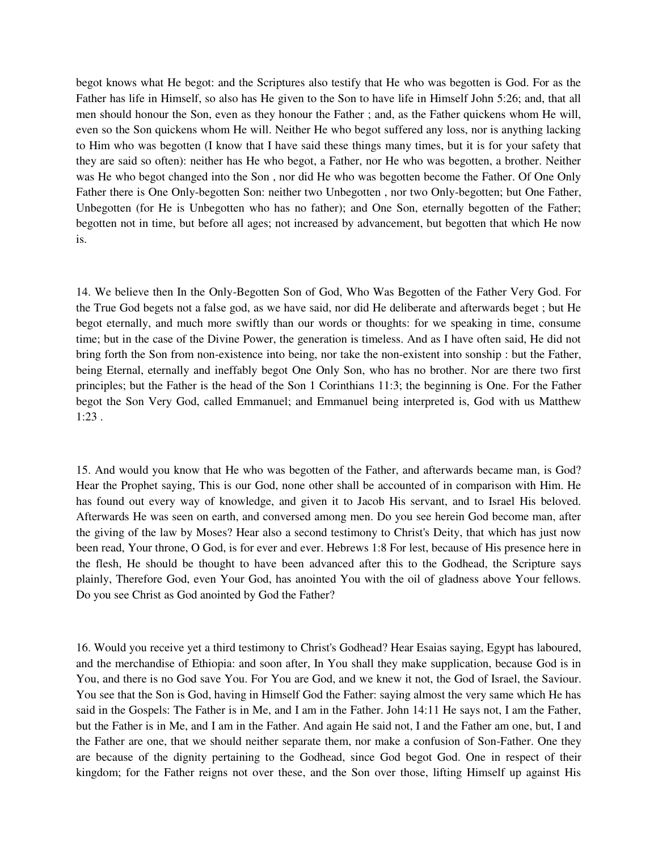begot knows what He begot: and the Scriptures also testify that He who was begotten is God. For as the Father has life in Himself, so also has He given to the Son to have life in Himself John 5:26; and, that all men should honour the Son, even as they honour the Father ; and, as the Father quickens whom He will, even so the Son quickens whom He will. Neither He who begot suffered any loss, nor is anything lacking to Him who was begotten (I know that I have said these things many times, but it is for your safety that they are said so often): neither has He who begot, a Father, nor He who was begotten, a brother. Neither was He who begot changed into the Son , nor did He who was begotten become the Father. Of One Only Father there is One Only-begotten Son: neither two Unbegotten , nor two Only-begotten; but One Father, Unbegotten (for He is Unbegotten who has no father); and One Son, eternally begotten of the Father; begotten not in time, but before all ages; not increased by advancement, but begotten that which He now is.

14. We believe then In the Only-Begotten Son of God, Who Was Begotten of the Father Very God. For the True God begets not a false god, as we have said, nor did He deliberate and afterwards beget ; but He begot eternally, and much more swiftly than our words or thoughts: for we speaking in time, consume time; but in the case of the Divine Power, the generation is timeless. And as I have often said, He did not bring forth the Son from non-existence into being, nor take the non-existent into sonship : but the Father, being Eternal, eternally and ineffably begot One Only Son, who has no brother. Nor are there two first principles; but the Father is the head of the Son 1 Corinthians 11:3; the beginning is One. For the Father begot the Son Very God, called Emmanuel; and Emmanuel being interpreted is, God with us Matthew  $1:23$ .

15. And would you know that He who was begotten of the Father, and afterwards became man, is God? Hear the Prophet saying, This is our God, none other shall be accounted of in comparison with Him. He has found out every way of knowledge, and given it to Jacob His servant, and to Israel His beloved. Afterwards He was seen on earth, and conversed among men. Do you see herein God become man, after the giving of the law by Moses? Hear also a second testimony to Christ's Deity, that which has just now been read, Your throne, O God, is for ever and ever. Hebrews 1:8 For lest, because of His presence here in the flesh, He should be thought to have been advanced after this to the Godhead, the Scripture says plainly, Therefore God, even Your God, has anointed You with the oil of gladness above Your fellows. Do you see Christ as God anointed by God the Father?

16. Would you receive yet a third testimony to Christ's Godhead? Hear Esaias saying, Egypt has laboured, and the merchandise of Ethiopia: and soon after, In You shall they make supplication, because God is in You, and there is no God save You. For You are God, and we knew it not, the God of Israel, the Saviour. You see that the Son is God, having in Himself God the Father: saying almost the very same which He has said in the Gospels: The Father is in Me, and I am in the Father. John 14:11 He says not, I am the Father, but the Father is in Me, and I am in the Father. And again He said not, I and the Father am one, but, I and the Father are one, that we should neither separate them, nor make a confusion of Son-Father. One they are because of the dignity pertaining to the Godhead, since God begot God. One in respect of their kingdom; for the Father reigns not over these, and the Son over those, lifting Himself up against His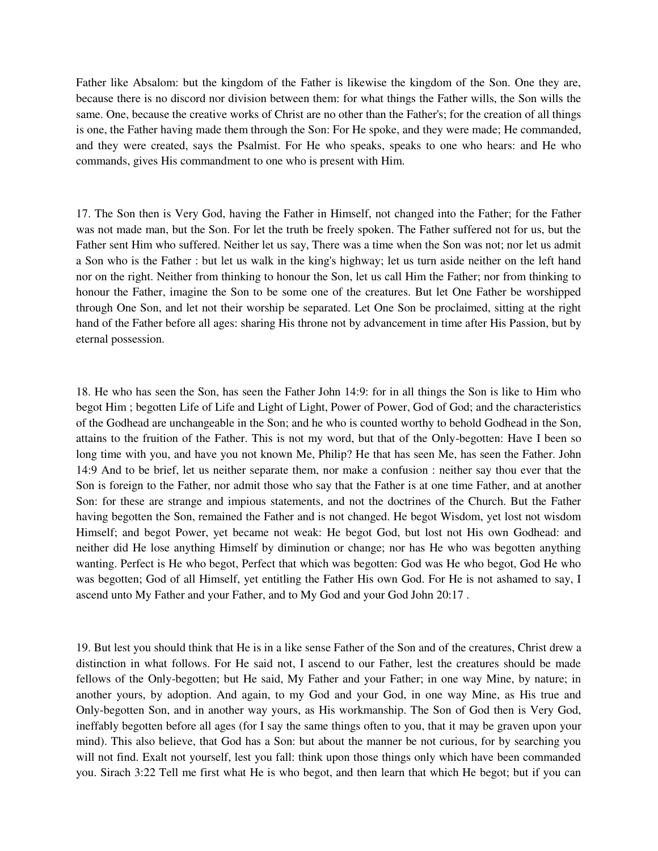Father like Absalom: but the kingdom of the Father is likewise the kingdom of the Son. One they are, because there is no discord nor division between them: for what things the Father wills, the Son wills the same. One, because the creative works of Christ are no other than the Father's; for the creation of all things is one, the Father having made them through the Son: For He spoke, and they were made; He commanded, and they were created, says the Psalmist. For He who speaks, speaks to one who hears: and He who commands, gives His commandment to one who is present with Him.

17. The Son then is Very God, having the Father in Himself, not changed into the Father; for the Father was not made man, but the Son. For let the truth be freely spoken. The Father suffered not for us, but the Father sent Him who suffered. Neither let us say, There was a time when the Son was not; nor let us admit a Son who is the Father : but let us walk in the king's highway; let us turn aside neither on the left hand nor on the right. Neither from thinking to honour the Son, let us call Him the Father; nor from thinking to honour the Father, imagine the Son to be some one of the creatures. But let One Father be worshipped through One Son, and let not their worship be separated. Let One Son be proclaimed, sitting at the right hand of the Father before all ages: sharing His throne not by advancement in time after His Passion, but by eternal possession.

18. He who has seen the Son, has seen the Father John 14:9: for in all things the Son is like to Him who begot Him ; begotten Life of Life and Light of Light, Power of Power, God of God; and the characteristics of the Godhead are unchangeable in the Son; and he who is counted worthy to behold Godhead in the Son, attains to the fruition of the Father. This is not my word, but that of the Only-begotten: Have I been so long time with you, and have you not known Me, Philip? He that has seen Me, has seen the Father. John 14:9 And to be brief, let us neither separate them, nor make a confusion : neither say thou ever that the Son is foreign to the Father, nor admit those who say that the Father is at one time Father, and at another Son: for these are strange and impious statements, and not the doctrines of the Church. But the Father having begotten the Son, remained the Father and is not changed. He begot Wisdom, yet lost not wisdom Himself; and begot Power, yet became not weak: He begot God, but lost not His own Godhead: and neither did He lose anything Himself by diminution or change; nor has He who was begotten anything wanting. Perfect is He who begot, Perfect that which was begotten: God was He who begot, God He who was begotten; God of all Himself, yet entitling the Father His own God. For He is not ashamed to say, I ascend unto My Father and your Father, and to My God and your God John 20:17 .

19. But lest you should think that He is in a like sense Father of the Son and of the creatures, Christ drew a distinction in what follows. For He said not, I ascend to our Father, lest the creatures should be made fellows of the Only-begotten; but He said, My Father and your Father; in one way Mine, by nature; in another yours, by adoption. And again, to my God and your God, in one way Mine, as His true and Only-begotten Son, and in another way yours, as His workmanship. The Son of God then is Very God, ineffably begotten before all ages (for I say the same things often to you, that it may be graven upon your mind). This also believe, that God has a Son: but about the manner be not curious, for by searching you will not find. Exalt not yourself, lest you fall: think upon those things only which have been commanded you. Sirach 3:22 Tell me first what He is who begot, and then learn that which He begot; but if you can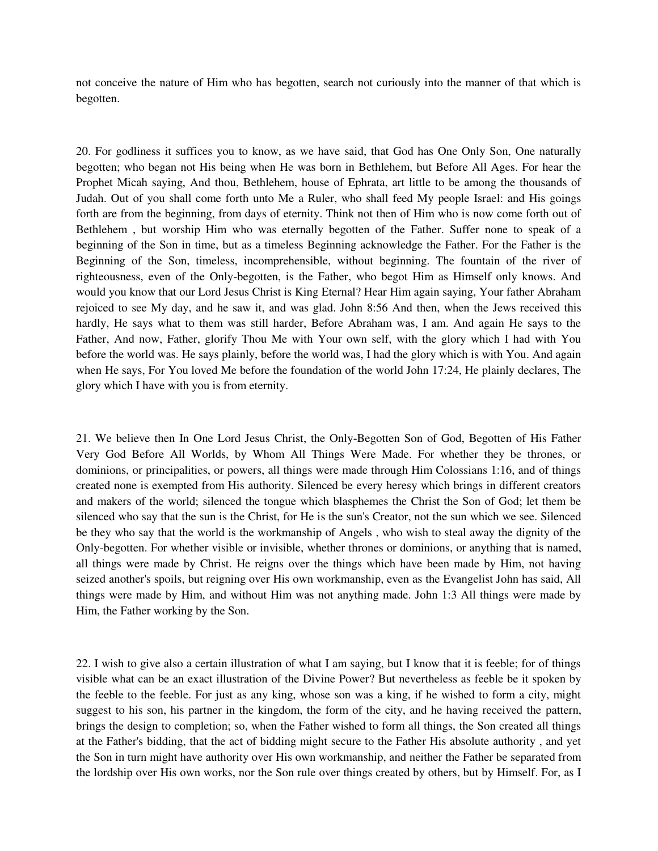not conceive the nature of Him who has begotten, search not curiously into the manner of that which is begotten.

20. For godliness it suffices you to know, as we have said, that God has One Only Son, One naturally begotten; who began not His being when He was born in Bethlehem, but Before All Ages. For hear the Prophet Micah saying, And thou, Bethlehem, house of Ephrata, art little to be among the thousands of Judah. Out of you shall come forth unto Me a Ruler, who shall feed My people Israel: and His goings forth are from the beginning, from days of eternity. Think not then of Him who is now come forth out of Bethlehem , but worship Him who was eternally begotten of the Father. Suffer none to speak of a beginning of the Son in time, but as a timeless Beginning acknowledge the Father. For the Father is the Beginning of the Son, timeless, incomprehensible, without beginning. The fountain of the river of righteousness, even of the Only-begotten, is the Father, who begot Him as Himself only knows. And would you know that our Lord Jesus Christ is King Eternal? Hear Him again saying, Your father Abraham rejoiced to see My day, and he saw it, and was glad. John 8:56 And then, when the Jews received this hardly, He says what to them was still harder, Before Abraham was, I am. And again He says to the Father, And now, Father, glorify Thou Me with Your own self, with the glory which I had with You before the world was. He says plainly, before the world was, I had the glory which is with You. And again when He says, For You loved Me before the foundation of the world John 17:24, He plainly declares, The glory which I have with you is from eternity.

21. We believe then In One Lord Jesus Christ, the Only-Begotten Son of God, Begotten of His Father Very God Before All Worlds, by Whom All Things Were Made. For whether they be thrones, or dominions, or principalities, or powers, all things were made through Him Colossians 1:16, and of things created none is exempted from His authority. Silenced be every heresy which brings in different creators and makers of the world; silenced the tongue which blasphemes the Christ the Son of God; let them be silenced who say that the sun is the Christ, for He is the sun's Creator, not the sun which we see. Silenced be they who say that the world is the workmanship of Angels , who wish to steal away the dignity of the Only-begotten. For whether visible or invisible, whether thrones or dominions, or anything that is named, all things were made by Christ. He reigns over the things which have been made by Him, not having seized another's spoils, but reigning over His own workmanship, even as the Evangelist John has said, All things were made by Him, and without Him was not anything made. John 1:3 All things were made by Him, the Father working by the Son.

22. I wish to give also a certain illustration of what I am saying, but I know that it is feeble; for of things visible what can be an exact illustration of the Divine Power? But nevertheless as feeble be it spoken by the feeble to the feeble. For just as any king, whose son was a king, if he wished to form a city, might suggest to his son, his partner in the kingdom, the form of the city, and he having received the pattern, brings the design to completion; so, when the Father wished to form all things, the Son created all things at the Father's bidding, that the act of bidding might secure to the Father His absolute authority , and yet the Son in turn might have authority over His own workmanship, and neither the Father be separated from the lordship over His own works, nor the Son rule over things created by others, but by Himself. For, as I